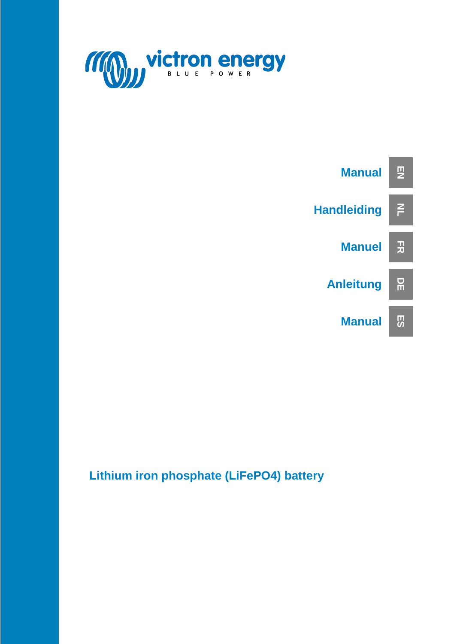



**Lithium iron phosphate (LiFePO4) battery**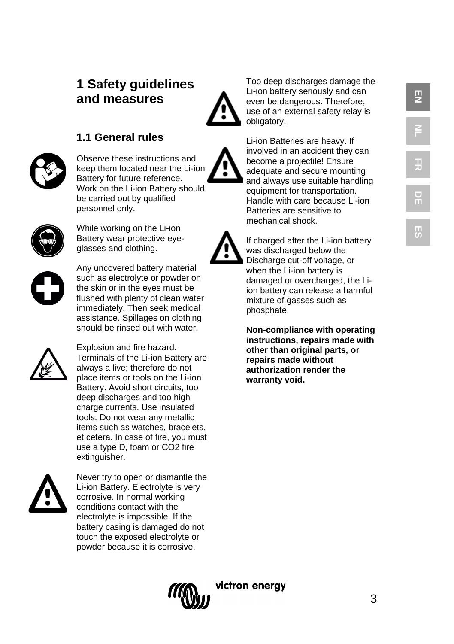# **EN**

# **1 Safety guidelines and measures**



Too deep discharges damage the Li -ion battery seriously and can even be dangerous. Therefore, use of an external safety relay is obligatory.

# **1.1 General rules**



Observe these instructions and keep them located near the Li -ion Battery for future reference. Work on the Li -ion Battery should be carried out by qualified personnel only.



While working on the Li -ion Battery wear protective eye glasses and clothing.



Any uncovered battery material such as electrolyte or powder on the skin or in the eyes must be flushed with plenty of clean water immediately. Then seek medical assistance. Spillages on clothing should be rinsed out with water.



Explosion and fire hazard. Terminals of the Li -ion Battery are always a live; therefore do not place items or tools on the Li -ion Battery. Avoid short circuits, too deep discharges and too high charge currents. Use insulated tools. Do not wear any metallic items such as watches, bracelets, et cetera. In case of fire, you must use a type D, foam or CO2 fire extinguisher .



Never try to open or dismantle the Li -ion Battery. Electrolyte is very corrosive. In normal working conditions contact with the electrolyte is impossible. If the battery casing is damaged do not touch the exposed electrolyte or powder because it is corrosive.



Li -ion Batteries are heavy. If involved in an accident they can become a projectile! Ensure adequate and secure mounting and always use suitable handling equipment for transportation. Handle with care because Li -ion Batteries are sensitive to mechanical shock.



If charged after the Li -ion battery was discharged below the Discharge cut -off voltage, or when the Li -ion battery is damaged or overcharged, the Li ion battery can release a harmful mixture of gasses such as phosphate.

**Non -compliance with operating instructions, repairs made with other than original parts, or repairs made without authorization render the warranty void.**

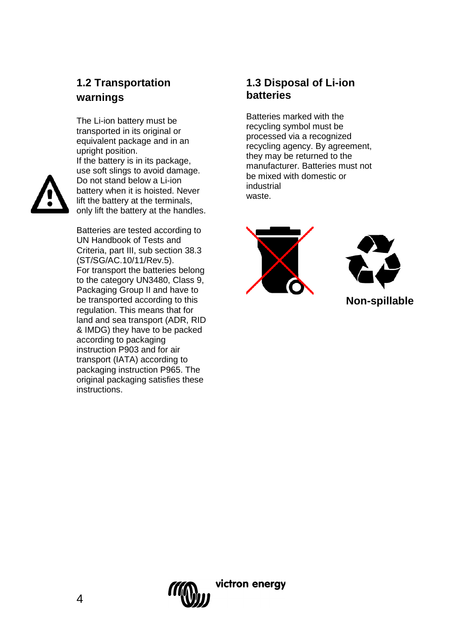# **1.2 Transportation warnings**

The Li-ion battery must be transported in its original or equivalent package and in an upright position.



If the battery is in its package, use soft slings to avoid damage. Do not stand below a Li-ion battery when it is hoisted. Never lift the battery at the terminals, only lift the battery at the handles.

Batteries are tested according to UN Handbook of Tests and Criteria, part III, sub section 38.3 (ST/SG/AC.10/11/Rev.5). For transport the batteries belong to the category UN3480, Class 9, Packaging Group II and have to be transported according to this regulation. This means that for land and sea transport (ADR, RID & IMDG) they have to be packed according to packaging instruction P903 and for air transport (IATA) according to packaging instruction P965. The original packaging satisfies these instructions.

# **1.3 Disposal of Li-ion batteries**

Batteries marked with the recycling symbol must be processed via a recognized recycling agency. By agreement, they may be returned to the manufacturer. Batteries must not be mixed with domestic or industrial waste.





**Non-spillable**

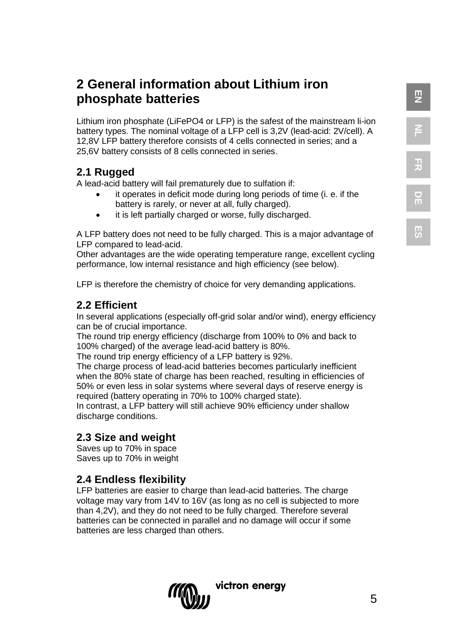**DE**

**ES**

# **2 General information about Lithium iron phosphate batteries**

Lithium iron phosphate (LiFePO4 or LFP) is the safest of the mainstream li-ion battery types. The nominal voltage of a LFP cell is 3,2V (lead-acid: 2V/cell). A 12,8V LFP battery therefore consists of 4 cells connected in series; and a 25,6V battery consists of 8 cells connected in series.

# **2.1 Rugged**

A lead-acid battery will fail prematurely due to sulfation if:

- it operates in deficit mode during long periods of time (i. e. if the battery is rarely, or never at all, fully charged).
- it is left partially charged or worse, fully discharged.

A LFP battery does not need to be fully charged. This is a major advantage of LFP compared to lead-acid.

Other advantages are the wide operating temperature range, excellent cycling performance, low internal resistance and high efficiency (see below).

LFP is therefore the chemistry of choice for very demanding applications.

# **2.2 Efficient**

In several applications (especially off-grid solar and/or wind), energy efficiency can be of crucial importance.

The round trip energy efficiency (discharge from 100% to 0% and back to 100% charged) of the average lead-acid battery is 80%.

The round trip energy efficiency of a LFP battery is 92%.

The charge process of lead-acid batteries becomes particularly inefficient when the 80% state of charge has been reached, resulting in efficiencies of 50% or even less in solar systems where several days of reserve energy is required (battery operating in 70% to 100% charged state).

In contrast, a LFP battery will still achieve 90% efficiency under shallow discharge conditions.

# **2.3 Size and weight**

Saves up to 70% in space Saves up to 70% in weight

# **2.4 Endless flexibility**

LFP batteries are easier to charge than lead-acid batteries. The charge voltage may vary from 14V to 16V (as long as no cell is subjected to more than 4,2V), and they do not need to be fully charged. Therefore several batteries can be connected in parallel and no damage will occur if some batteries are less charged than others.

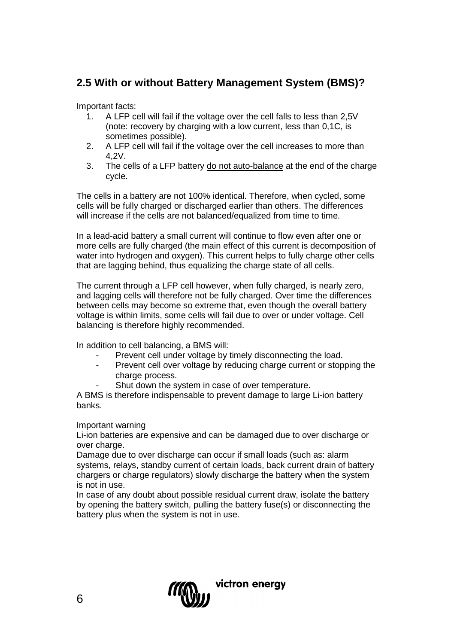# **2.5 With or without Battery Management System (BMS)?**

Important facts:

- 1. A LFP cell will fail if the voltage over the cell falls to less than 2,5V (note: recovery by charging with a low current, less than 0,1C, is sometimes possible).
- 2. A LFP cell will fail if the voltage over the cell increases to more than 4,2V.
- 3. The cells of a LFP battery do not auto-balance at the end of the charge cycle.

The cells in a battery are not 100% identical. Therefore, when cycled, some cells will be fully charged or discharged earlier than others. The differences will increase if the cells are not balanced/equalized from time to time.

In a lead-acid battery a small current will continue to flow even after one or more cells are fully charged (the main effect of this current is decomposition of water into hydrogen and oxygen). This current helps to fully charge other cells that are lagging behind, thus equalizing the charge state of all cells.

The current through a LFP cell however, when fully charged, is nearly zero, and lagging cells will therefore not be fully charged. Over time the differences between cells may become so extreme that, even though the overall battery voltage is within limits, some cells will fail due to over or under voltage. Cell balancing is therefore highly recommended.

In addition to cell balancing, a BMS will:

- Prevent cell under voltage by timely disconnecting the load.
- Prevent cell over voltage by reducing charge current or stopping the charge process.
	- Shut down the system in case of over temperature.

A BMS is therefore indispensable to prevent damage to large Li-ion battery banks.

Important warning

Li-ion batteries are expensive and can be damaged due to over discharge or over charge.

Damage due to over discharge can occur if small loads (such as: alarm systems, relays, standby current of certain loads, back current drain of battery chargers or charge regulators) slowly discharge the battery when the system is not in use.

In case of any doubt about possible residual current draw, isolate the battery by opening the battery switch, pulling the battery fuse(s) or disconnecting the battery plus when the system is not in use.

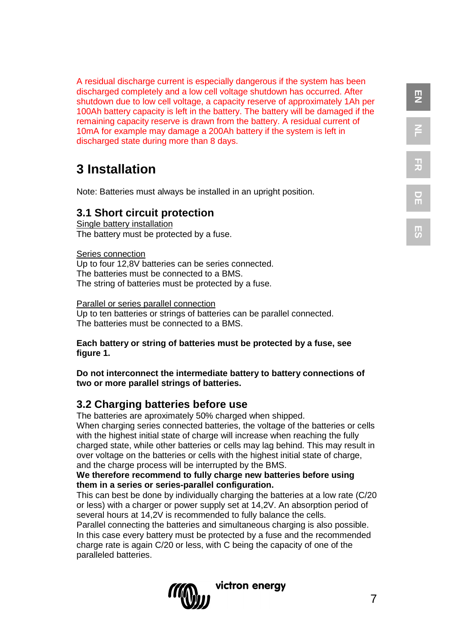A residual discharge current is especially dangerous if the system has been discharged completely and a low cell voltage shutdown has occurred. After shutdown due to low cell voltage, a capacity reserve of approximately 1Ah per 100Ah battery capacity is left in the battery. The battery will be damaged if the remaining capacity reserve is drawn from the battery. A residual current of 10mA for example may damage a 200Ah battery if the system is left in discharged state during more than 8 days.

# **3 Installation**

Note: Batteries must always be installed in an upright position.

#### **3.1 Short circuit protection**

Single battery installation The battery must be protected by a fuse.

Series connection Up to four 12,8V batteries can be series connected. The batteries must be connected to a BMS. The string of batteries must be protected by a fuse.

Parallel or series parallel connection Up to ten batteries or strings of batteries can be parallel connected. The batteries must be connected to a BMS.

**Each battery or string of batteries must be protected by a fuse, see figure 1.**

**Do not interconnect the intermediate battery to battery connections of two or more parallel strings of batteries.**

# **3.2 Charging batteries before use**

The batteries are aproximately 50% charged when shipped. When charging series connected batteries, the voltage of the batteries or cells with the highest initial state of charge will increase when reaching the fully charged state, while other batteries or cells may lag behind. This may result in over voltage on the batteries or cells with the highest initial state of charge, and the charge process will be interrupted by the BMS.

#### **We therefore recommend to fully charge new batteries before using them in a series or series-parallel configuration.**

This can best be done by individually charging the batteries at a low rate (C/20 or less) with a charger or power supply set at 14,2V. An absorption period of several hours at 14,2V is recommended to fully balance the cells.

Parallel connecting the batteries and simultaneous charging is also possible. In this case every battery must be protected by a fuse and the recommended charge rate is again C/20 or less, with C being the capacity of one of the paralleled batteries.



**EN**

**NL**

**FR**

**DE**

**ES**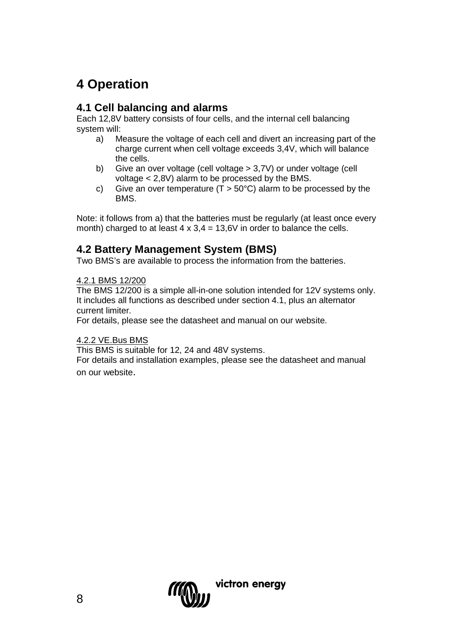# **4 Operation**

# **4.1 Cell balancing and alarms**

Each 12,8V battery consists of four cells, and the internal cell balancing system will:

- a) Measure the voltage of each cell and divert an increasing part of the charge current when cell voltage exceeds 3,4V, which will balance the cells.
- b) Give an over voltage (cell voltage > 3,7V) or under voltage (cell voltage < 2,8V) alarm to be processed by the BMS.
- c) Give an over temperature ( $T > 50^{\circ}$ C) alarm to be processed by the **BMS.**

Note: it follows from a) that the batteries must be regularly (at least once every month) charged to at least  $4 \times 3.4 = 13.6V$  in order to balance the cells.

# **4.2 Battery Management System (BMS)**

Two BMS's are available to process the information from the batteries.

#### 4.2.1 BMS 12/200

The BMS 12/200 is a simple all-in-one solution intended for 12V systems only. It includes all functions as described under section 4.1, plus an alternator current limiter.

For details, please see the datasheet and manual on our website.

#### 4.2.2 VE.Bus BMS

This BMS is suitable for 12, 24 and 48V systems.

For details and installation examples, please see the datasheet and manual on our website.

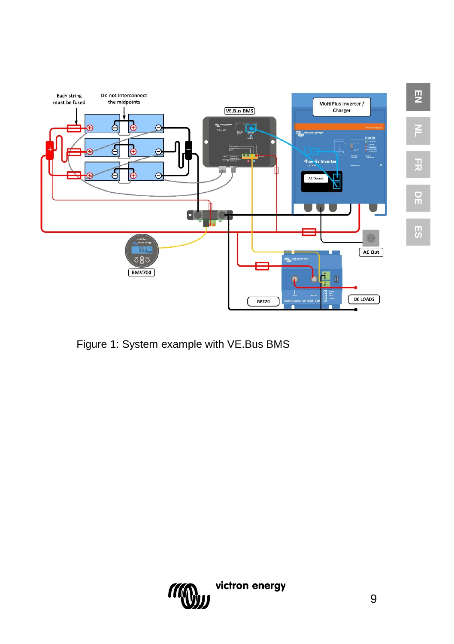

Figure 1: System example with VE.Bus BMS



**EN**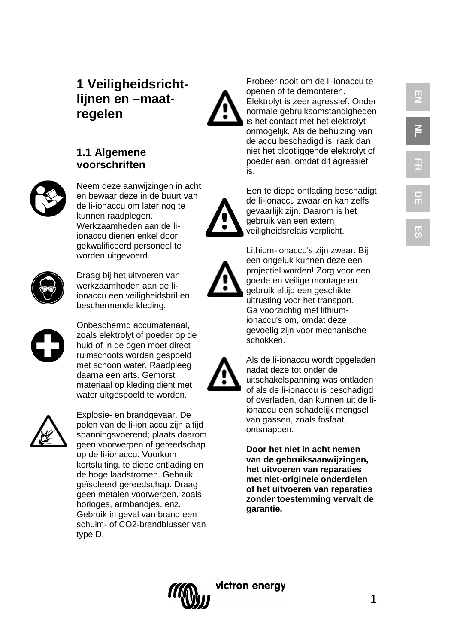# **1 Veiligheidsricht lijnen en –maat regelen**

# **1.1 Algemene voorschriften**



Neem deze aanwijzingen in acht en bewaar deze in de buurt van de li -ionaccu om later nog te kunnen raadplegen. Werkzaamheden aan de li ionaccu dienen enkel door gekwalificeerd personeel te worden uitgevoerd.



Draag bij het uitvoeren van werkzaamheden aan de li ionaccu een veiligheidsbril en beschermende kleding.



Onbeschermd accumateriaal, zoals elektrolyt of poeder op de huid of in de ogen moet direct ruimschoots worden gespoeld met schoon water. Raadpleeg daarna een arts. Gemorst materiaal op kleding dient met water uitgespoeld te worden.



Explosie - en brandgevaar. De polen van de li -ion accu zijn altijd spanningsvoerend; plaats daarom geen voorwerpen of gereedschap op de li -ionaccu. Voorkom kortsluiting, te diepe ontlading en de hoge laadstromen. Gebruik geïsoleerd gereedschap. Draag geen metalen voorwerpen, zoals horloges, armbandjes, enz. Gebruik in geval van brand een schuim - of CO2 -brandblusser van type D.

Probeer nooit om de li -ionaccu te openen of te demonteren. Elektrolyt is zeer agressief. Onder normale gebruiksomstandigheden is het contact met het elektrolyt onmogelijk. Als de behuizing van de accu beschadigd is, raak dan niet het blootliggende elektrolyt of poeder aan, omdat dit agressief is.



goede en veilige montage en gebruik altijd een geschikte uitrusting voor het transport. Ga voorzichtig met lithium ionaccu's om, omdat deze gevoelig zijn voor mechanische schokken.

Lithium -ionaccu's zijn zwaar. Bij een ongeluk kunnen deze een projectiel worden! Zorg voor een



Als de li -ionaccu wordt opgeladen nadat deze tot onder de uitschakelspanning was ontladen of als de li -ionaccu is beschadigd of overladen, dan kunnen uit de li ionaccu een schadelijk mengsel van gassen, zoals fosfaat, ontsnappen.

**Door het niet in acht nemen van de gebruiksaanwijzingen, het uitvoeren van reparaties met niet -originele onderdelen of het uitvoeren van reparaties zonder toestemming vervalt de garantie.**

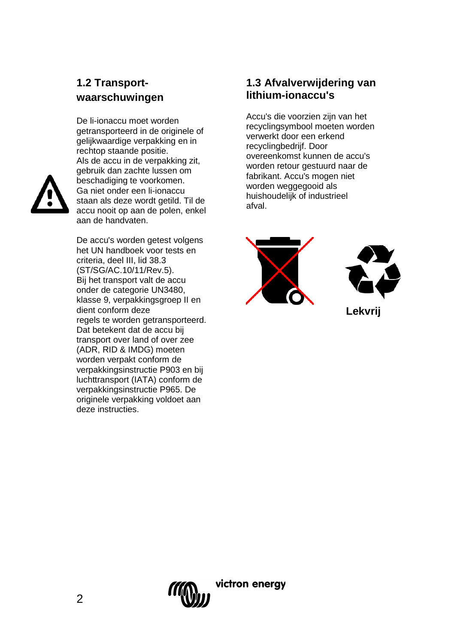# **1.2 Transportwaarschuwingen**

De li-ionaccu moet worden getransporteerd in de originele of gelijkwaardige verpakking en in rechtop staande positie. Als de accu in de verpakking zit, gebruik dan zachte lussen om beschadiging te voorkomen. Ga niet onder een li-ionaccu staan als deze wordt getild. Til de accu nooit op aan de polen, enkel aan de handvaten.

De accu's worden getest volgens het UN handboek voor tests en criteria, deel III, lid 38.3 (ST/SG/AC.10/11/Rev.5). Bij het transport valt de accu onder de categorie UN3480, klasse 9, verpakkingsgroep II en dient conform deze regels te worden getransporteerd. Dat betekent dat de accu bij transport over land of over zee (ADR, RID & IMDG) moeten worden verpakt conform de verpakkingsinstructie P903 en bij luchttransport (IATA) conform de verpakkingsinstructie P965. De originele verpakking voldoet aan deze instructies.

# **1.3 Afvalverwijdering van lithium-ionaccu's**

Accu's die voorzien zijn van het recyclingsymbool moeten worden verwerkt door een erkend recyclingbedrijf. Door overeenkomst kunnen de accu's worden retour gestuurd naar de fabrikant. Accu's mogen niet worden weggegooid als huishoudelijk of industrieel afval.





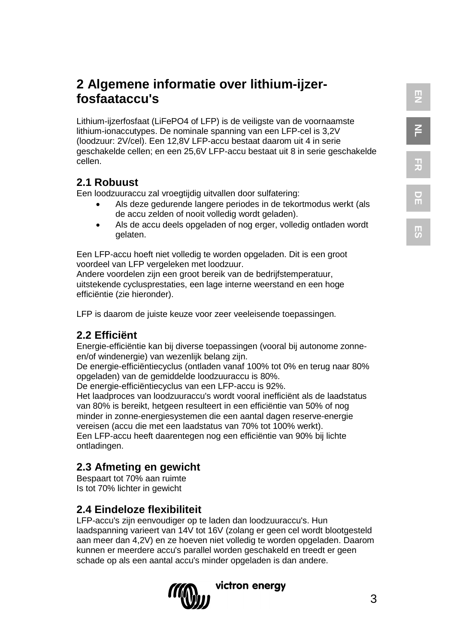**ES**

# **2 Algemene informatie over lithium-ijzerfosfaataccu's**

Lithium-ijzerfosfaat (LiFePO4 of LFP) is de veiligste van de voornaamste lithium-ionaccutypes. De nominale spanning van een LFP-cel is 3,2V (loodzuur: 2V/cel). Een 12,8V LFP-accu bestaat daarom uit 4 in serie geschakelde cellen; en een 25,6V LFP-accu bestaat uit 8 in serie geschakelde cellen.

# **2.1 Robuust**

Een loodzuuraccu zal vroegtijdig uitvallen door sulfatering:

- Als deze gedurende langere periodes in de tekortmodus werkt (als de accu zelden of nooit volledig wordt geladen).
- Als de accu deels opgeladen of nog erger, volledig ontladen wordt gelaten.

Een LFP-accu hoeft niet volledig te worden opgeladen. Dit is een groot voordeel van LFP vergeleken met loodzuur.

Andere voordelen zijn een groot bereik van de bedrijfstemperatuur, uitstekende cyclusprestaties, een lage interne weerstand en een hoge efficiëntie (zie hieronder).

LFP is daarom de juiste keuze voor zeer veeleisende toepassingen.

# **2.2 Efficiënt**

Energie-efficiëntie kan bij diverse toepassingen (vooral bij autonome zonneen/of windenergie) van wezenlijk belang zijn.

De energie-efficiëntiecyclus (ontladen vanaf 100% tot 0% en terug naar 80% opgeladen) van de gemiddelde loodzuuraccu is 80%.

De energie-efficiëntiecyclus van een LFP-accu is 92%.

Het laadproces van loodzuuraccu's wordt vooral inefficiënt als de laadstatus van 80% is bereikt, hetgeen resulteert in een efficiëntie van 50% of nog minder in zonne-energiesystemen die een aantal dagen reserve-energie vereisen (accu die met een laadstatus van 70% tot 100% werkt). Een LFP-accu heeft daarentegen nog een efficiëntie van 90% bij lichte ontladingen.

# **2.3 Afmeting en gewicht**

Bespaart tot 70% aan ruimte Is tot 70% lichter in gewicht

# **2.4 Eindeloze flexibiliteit**

LFP-accu's zijn eenvoudiger op te laden dan loodzuuraccu's. Hun laadspanning varieert van 14V tot 16V (zolang er geen cel wordt blootgesteld aan meer dan 4,2V) en ze hoeven niet volledig te worden opgeladen. Daarom kunnen er meerdere accu's parallel worden geschakeld en treedt er geen schade op als een aantal accu's minder opgeladen is dan andere.

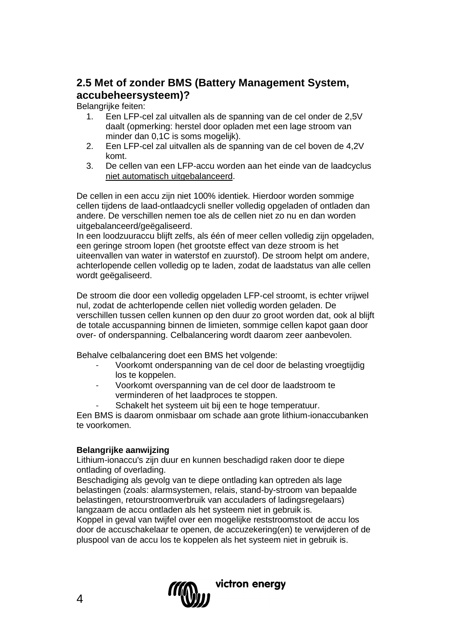# **2.5 Met of zonder BMS (Battery Management System, accubeheersysteem)?**

Belangrijke feiten:<br>1 Fen I FP-0

- 1. Een LFP-cel zal uitvallen als de spanning van de cel onder de 2,5V daalt (opmerking: herstel door opladen met een lage stroom van minder dan 0,1C is soms mogelijk).
- 2. Een LFP-cel zal uitvallen als de spanning van de cel boven de 4,2V komt.
- 3. De cellen van een LFP-accu worden aan het einde van de laadcyclus niet automatisch uitgebalanceerd.

De cellen in een accu zijn niet 100% identiek. Hierdoor worden sommige cellen tijdens de laad-ontlaadcycli sneller volledig opgeladen of ontladen dan andere. De verschillen nemen toe als de cellen niet zo nu en dan worden uitgebalanceerd/geëgaliseerd.

In een loodzuuraccu blijft zelfs, als één of meer cellen volledig zijn opgeladen, een geringe stroom lopen (het grootste effect van deze stroom is het uiteenvallen van water in waterstof en zuurstof). De stroom helpt om andere, achterlopende cellen volledig op te laden, zodat de laadstatus van alle cellen wordt geëgaliseerd.

De stroom die door een volledig opgeladen LFP-cel stroomt, is echter vrijwel nul, zodat de achterlopende cellen niet volledig worden geladen. De verschillen tussen cellen kunnen op den duur zo groot worden dat, ook al blijft de totale accuspanning binnen de limieten, sommige cellen kapot gaan door over- of onderspanning. Celbalancering wordt daarom zeer aanbevolen.

Behalve celbalancering doet een BMS het volgende:

- Voorkomt onderspanning van de cel door de belasting vroegtijdig los te koppelen.
- Voorkomt overspanning van de cel door de laadstroom te verminderen of het laadproces te stoppen.
	- Schakelt het systeem uit bij een te hoge temperatuur.

Een BMS is daarom onmisbaar om schade aan grote lithium-ionaccubanken te voorkomen.

#### **Belangrijke aanwijzing**

Lithium-ionaccu's zijn duur en kunnen beschadigd raken door te diepe ontlading of overlading.

Beschadiging als gevolg van te diepe ontlading kan optreden als lage belastingen (zoals: alarmsystemen, relais, stand-by-stroom van bepaalde belastingen, retourstroomverbruik van acculaders of ladingsregelaars) langzaam de accu ontladen als het systeem niet in gebruik is.

Koppel in geval van twijfel over een mogelijke reststroomstoot de accu los door de accuschakelaar te openen, de accuzekering(en) te verwijderen of de pluspool van de accu los te koppelen als het systeem niet in gebruik is.

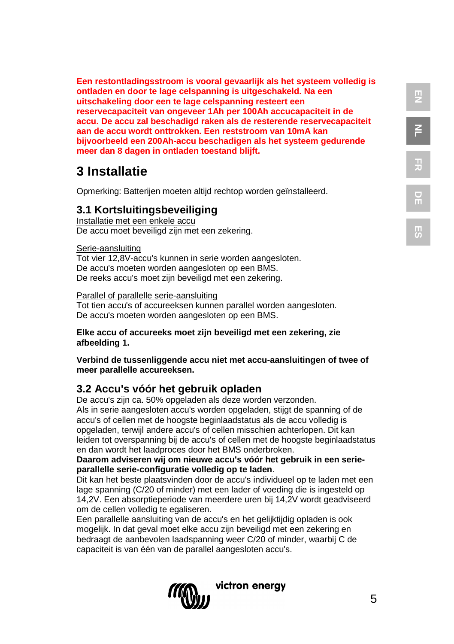**Een restontladingsstroom is vooral gevaarlijk als het systeem volledig is ontladen en door te lage celspanning is uitgeschakeld. Na een uitschakeling door een te lage celspanning resteert een reservecapaciteit van ongeveer 1Ah per 100Ah accucapaciteit in de accu. De accu zal beschadigd raken als de resterende reservecapaciteit aan de accu wordt onttrokken. Een reststroom van 10mA kan bijvoorbeeld een 200Ah-accu beschadigen als het systeem gedurende meer dan 8 dagen in ontladen toestand blijft.**

# **3 Installatie**

Opmerking: Batterijen moeten altijd rechtop worden geïnstalleerd.

#### **3.1 Kortsluitingsbeveiliging**

Installatie met een enkele accu De accu moet beveiligd zijn met een zekering.

#### Serie-aansluiting

Tot vier 12,8V-accu's kunnen in serie worden aangesloten. De accu's moeten worden aangesloten op een BMS. De reeks accu's moet zijn beveiligd met een zekering.

#### Parallel of parallelle serie-aansluiting

Tot tien accu's of accureeksen kunnen parallel worden aangesloten. De accu's moeten worden aangesloten op een BMS.

#### **Elke accu of accureeks moet zijn beveiligd met een zekering, zie afbeelding 1.**

#### **Verbind de tussenliggende accu niet met accu-aansluitingen of twee of meer parallelle accureeksen.**

#### **3.2 Accu's vóór het gebruik opladen**

De accu's zijn ca. 50% opgeladen als deze worden verzonden. Als in serie aangesloten accu's worden opgeladen, stijgt de spanning of de accu's of cellen met de hoogste beginlaadstatus als de accu volledig is opgeladen, terwijl andere accu's of cellen misschien achterlopen. Dit kan leiden tot overspanning bij de accu's of cellen met de hoogste beginlaadstatus en dan wordt het laadproces door het BMS onderbroken.

#### **Daarom adviseren wij om nieuwe accu's vóór het gebruik in een serieparallelle serie-configuratie volledig op te laden**.

Dit kan het beste plaatsvinden door de accu's individueel op te laden met een lage spanning (C/20 of minder) met een lader of voeding die is ingesteld op 14,2V. Een absorptieperiode van meerdere uren bij 14,2V wordt geadviseerd om de cellen volledig te egaliseren.

Een parallelle aansluiting van de accu's en het gelijktijdig opladen is ook mogelijk. In dat geval moet elke accu zijn beveiligd met een zekering en bedraagt de aanbevolen laadspanning weer C/20 of minder, waarbij C de capaciteit is van één van de parallel aangesloten accu's.

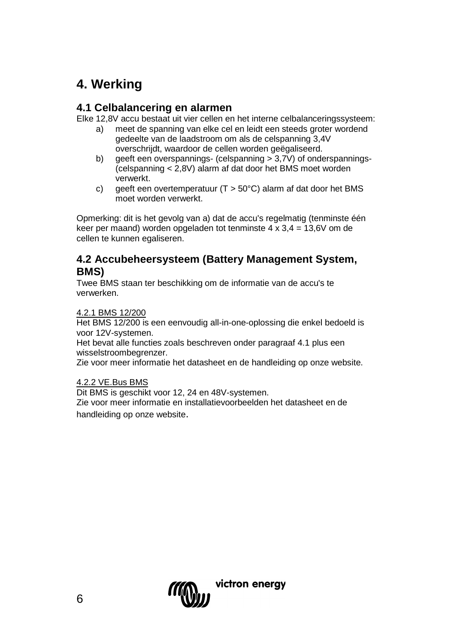# **4. Werking**

# **4.1 Celbalancering en alarmen**

Elke 12,8V accu bestaat uit vier cellen en het interne celbalanceringssysteem:

- a) meet de spanning van elke cel en leidt een steeds groter wordend gedeelte van de laadstroom om als de celspanning 3,4V overschrijdt, waardoor de cellen worden geëgaliseerd.
- b) geeft een overspannings- (celspanning  $> 3.7V$ ) of onderspannings-(celspanning < 2,8V) alarm af dat door het BMS moet worden verwerkt.
- c) geeft een overtemperatuur ( $T > 50^{\circ}$ C) alarm af dat door het BMS moet worden verwerkt.

Opmerking: dit is het gevolg van a) dat de accu's regelmatig (tenminste één keer per maand) worden opgeladen tot tenminste  $4 \times 3.4 = 13,6$ V om de cellen te kunnen egaliseren.

#### **4.2 Accubeheersysteem (Battery Management System, BMS)**

Twee BMS staan ter beschikking om de informatie van de accu's te verwerken.

#### 4.2.1 BMS 12/200

Het BMS 12/200 is een eenvoudig all-in-one-oplossing die enkel bedoeld is voor 12V-systemen.

Het bevat alle functies zoals beschreven onder paragraaf 4.1 plus een wisselstroombegrenzer.

Zie voor meer informatie het datasheet en de handleiding op onze website.

#### 4.2.2 VE.Bus BMS

Dit BMS is geschikt voor 12, 24 en 48V-systemen.

Zie voor meer informatie en installatievoorbeelden het datasheet en de handleiding op onze website.

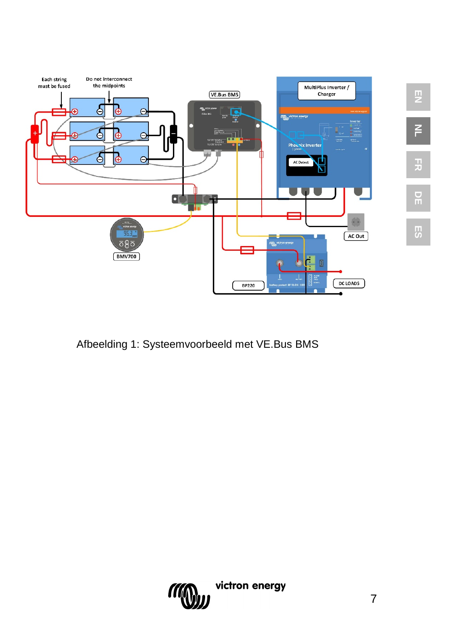

Afbeelding 1: Systeemvoorbeeld met VE.Bus BMS



**EN**

2<br>F

**DE**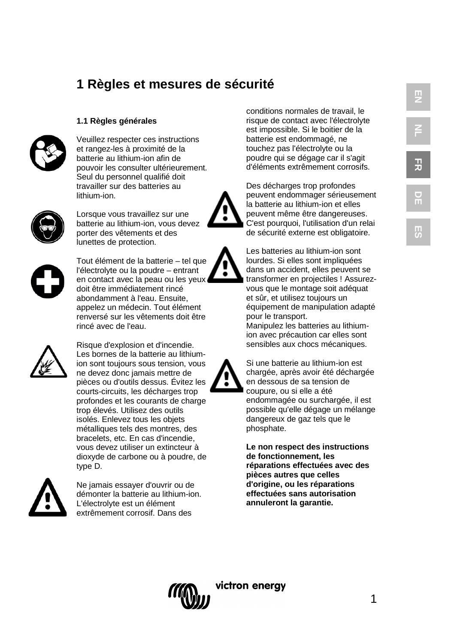# **1 Règles et mesures de sécurité**

#### **1.1 Règles générales**



Veuillez respecter ces instructions et rangez-les à proximité de la batterie au lithium-ion afin de pouvoir les consulter ultérieurement. Seul du personnel qualifié doit travailler sur des batteries au lithium-ion.



Lorsque vous travaillez sur une batterie au lithium-ion, vous devez porter des vêtements et des lunettes de protection.



Tout élément de la batterie – tel que l'électrolyte ou la poudre – entrant en contact avec la peau ou les yeux doit être immédiatement rincé abondamment à l'eau. Ensuite, appelez un médecin. Tout élément renversé sur les vêtements doit être rincé avec de l'eau.



Risque d'explosion et d'incendie. Les bornes de la batterie au lithiumion sont toujours sous tension, vous ne devez donc jamais mettre de pièces ou d'outils dessus. Évitez les courts-circuits, les décharges trop profondes et les courants de charge trop élevés. Utilisez des outils isolés. Enlevez tous les objets métalliques tels des montres, des bracelets, etc. En cas d'incendie, vous devez utiliser un extincteur à dioxyde de carbone ou à poudre, de type D.



Ne jamais essayer d'ouvrir ou de démonter la batterie au lithium-ion. L'électrolyte est un élément extrêmement corrosif. Dans des

conditions normales de travail, le risque de contact avec l'électrolyte est impossible. Si le boitier de la batterie est endommagé, ne touchez pas l'électrolyte ou la poudre qui se dégage car il s'agit d'éléments extrêmement corrosifs. **EN**

**NL**

**FR**

**DE**

**ES**

Des décharges trop profondes peuvent endommager sérieusement la batterie au lithium-ion et elles peuvent même être dangereuses. C'est pourquoi, l'utilisation d'un relai de sécurité externe est obligatoire.

Les batteries au lithium-ion sont lourdes. Si elles sont impliquées dans un accident, elles peuvent se transformer en projectiles ! Assurezvous que le montage soit adéquat et sûr, et utilisez toujours un équipement de manipulation adapté pour le transport.

Manipulez les batteries au lithiumion avec précaution car elles sont sensibles aux chocs mécaniques.

Si une batterie au lithium-ion est chargée, après avoir été déchargée en dessous de sa tension de coupure, ou si elle a été endommagée ou surchargée, il est possible qu'elle dégage un mélange dangereux de gaz tels que le phosphate.

**Le non respect des instructions de fonctionnement, les réparations effectuées avec des pièces autres que celles d'origine, ou les réparations effectuées sans autorisation annuleront la garantie.**



1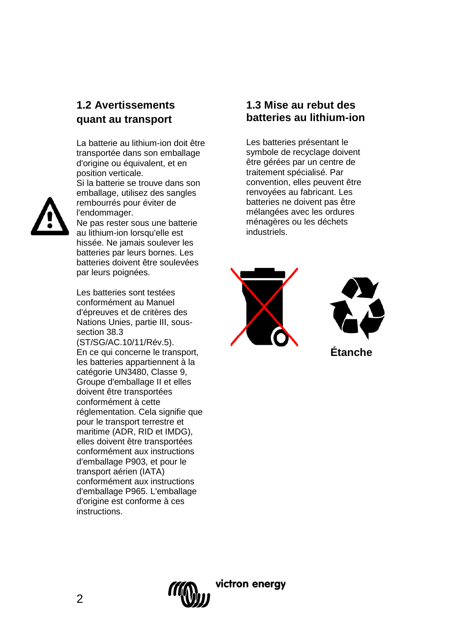# **1.2 Avertissements quant au transport**

La batterie au lithium-ion doit être transportée dans son emballage d'origine ou équivalent, et en position verticale. Si la batterie se trouve dans son emballage, utilisez des sangles rembourrés pour éviter de l'endommager. Ne pas rester sous une batterie au lithium-ion lorsqu'elle est hissée. Ne jamais soulever les batteries par leurs bornes. Les batteries doivent être soulevées par leurs poignées.

Les batteries sont testées conformément au Manuel d'épreuves et de critères des Nations Unies, partie III, soussection 38.3

(ST/SG/AC.10/11/Rév.5). En ce qui concerne le transport, les batteries appartiennent à la catégorie UN3480, Classe 9, Groupe d'emballage II et elles doivent être transportées conformément à cette réglementation. Cela signifie que pour le transport terrestre et maritime (ADR, RID et IMDG), elles doivent être transportées conformément aux instructions d'emballage P903, et pour le transport aérien (IATA) conformément aux instructions d'emballage P965. L'emballage d'origine est conforme à ces instructions.

#### **1.3 Mise au rebut des batteries au lithium-ion**

Les batteries présentant le symbole de recyclage doivent être gérées par un centre de traitement spécialisé. Par convention, elles peuvent être renvoyées au fabricant. Les batteries ne doivent pas être mélangées avec les ordures ménagères ou les déchets industriels.





**Étanche**



victron enerav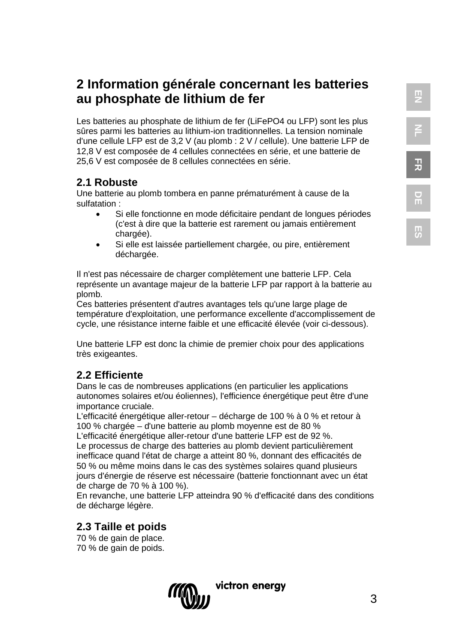**DE**

**ES**

# **2 Information générale concernant les batteries au phosphate de lithium de fer**

Les batteries au phosphate de lithium de fer (LiFePO4 ou LFP) sont les plus sûres parmi les batteries au lithium-ion traditionnelles. La tension nominale d'une cellule LFP est de 3,2 V (au plomb : 2 V / cellule). Une batterie LFP de 12,8 V est composée de 4 cellules connectées en série, et une batterie de 25,6 V est composée de 8 cellules connectées en série.

# **2.1 Robuste**

Une batterie au plomb tombera en panne prématurément à cause de la sulfatation :

- Si elle fonctionne en mode déficitaire pendant de longues périodes (c'est à dire que la batterie est rarement ou jamais entièrement chargée).
- Si elle est laissée partiellement chargée, ou pire, entièrement déchargée.

Il n'est pas nécessaire de charger complètement une batterie LFP. Cela représente un avantage majeur de la batterie LFP par rapport à la batterie au plomb.

Ces batteries présentent d'autres avantages tels qu'une large plage de température d'exploitation, une performance excellente d'accomplissement de cycle, une résistance interne faible et une efficacité élevée (voir ci-dessous).

Une batterie LFP est donc la chimie de premier choix pour des applications très exigeantes.

# **2.2 Efficiente**

Dans le cas de nombreuses applications (en particulier les applications autonomes solaires et/ou éoliennes), l'efficience énergétique peut être d'une importance cruciale.

L'efficacité énergétique aller-retour – décharge de 100 % à 0 % et retour à 100 % chargée – d'une batterie au plomb moyenne est de 80 %

L'efficacité énergétique aller-retour d'une batterie LFP est de 92 %. Le processus de charge des batteries au plomb devient particulièrement inefficace quand l'état de charge a atteint 80 %, donnant des efficacités de 50 % ou même moins dans le cas des systèmes solaires quand plusieurs jours d'énergie de réserve est nécessaire (batterie fonctionnant avec un état de charge de 70 % à 100 %).

En revanche, une batterie LFP atteindra 90 % d'efficacité dans des conditions de décharge légère.

# **2.3 Taille et poids**

70 % de gain de place. 70 % de gain de poids.

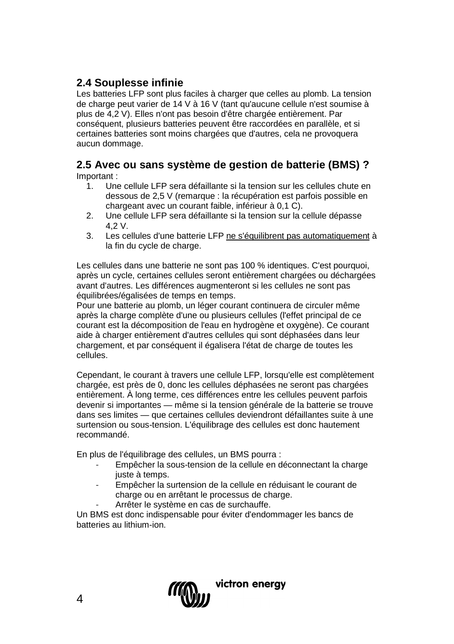# **2.4 Souplesse infinie**

Les batteries LFP sont plus faciles à charger que celles au plomb. La tension de charge peut varier de 14 V à 16 V (tant qu'aucune cellule n'est soumise à plus de 4,2 V). Elles n'ont pas besoin d'être chargée entièrement. Par conséquent, plusieurs batteries peuvent être raccordées en parallèle, et si certaines batteries sont moins chargées que d'autres, cela ne provoquera aucun dommage.

# **2.5 Avec ou sans système de gestion de batterie (BMS) ?**

Important :

- 1. Une cellule LFP sera défaillante si la tension sur les cellules chute en dessous de 2,5 V (remarque : la récupération est parfois possible en chargeant avec un courant faible, inférieur à 0,1 C).
- 2. Une cellule LFP sera défaillante si la tension sur la cellule dépasse 4,2 V.
- 3. Les cellules d'une batterie LFP ne s'équilibrent pas automatiquement à la fin du cycle de charge.

Les cellules dans une batterie ne sont pas 100 % identiques. C'est pourquoi, après un cycle, certaines cellules seront entièrement chargées ou déchargées avant d'autres. Les différences augmenteront si les cellules ne sont pas équilibrées/égalisées de temps en temps.

Pour une batterie au plomb, un léger courant continuera de circuler même après la charge complète d'une ou plusieurs cellules (l'effet principal de ce courant est la décomposition de l'eau en hydrogène et oxygène). Ce courant aide à charger entièrement d'autres cellules qui sont déphasées dans leur chargement, et par conséquent il égalisera l'état de charge de toutes les cellules.

Cependant, le courant à travers une cellule LFP, lorsqu'elle est complètement chargée, est près de 0, donc les cellules déphasées ne seront pas chargées entièrement. À long terme, ces différences entre les cellules peuvent parfois devenir si importantes — même si la tension générale de la batterie se trouve dans ses limites — que certaines cellules deviendront défaillantes suite à une surtension ou sous-tension. L'équilibrage des cellules est donc hautement recommandé.

En plus de l'équilibrage des cellules, un BMS pourra :

- Empêcher la sous-tension de la cellule en déconnectant la charge juste à temps.
- Empêcher la surtension de la cellule en réduisant le courant de charge ou en arrêtant le processus de charge.
	- Arrêter le système en cas de surchauffe.

Un BMS est donc indispensable pour éviter d'endommager les bancs de batteries au lithium-ion.

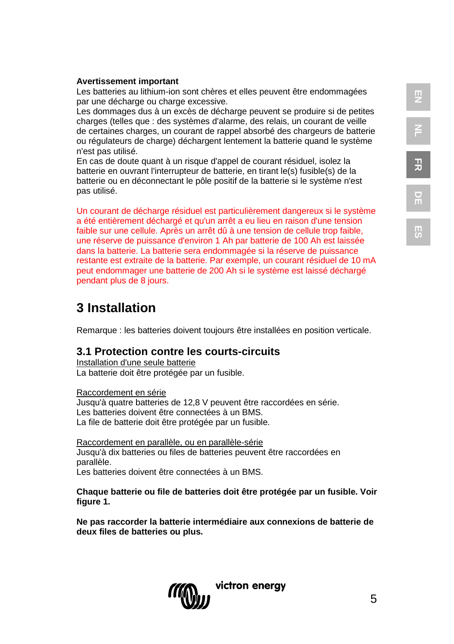#### **Avertissement important**

Les batteries au lithium-ion sont chères et elles peuvent être endommagées par une décharge ou charge excessive.

Les dommages dus à un excès de décharge peuvent se produire si de petites charges (telles que : des systèmes d'alarme, des relais, un courant de veille de certaines charges, un courant de rappel absorbé des chargeurs de batterie ou régulateurs de charge) déchargent lentement la batterie quand le système n'est pas utilisé.

En cas de doute quant à un risque d'appel de courant résiduel, isolez la batterie en ouvrant l'interrupteur de batterie, en tirant le(s) fusible(s) de la batterie ou en déconnectant le pôle positif de la batterie si le système n'est pas utilisé.

Un courant de décharge résiduel est particulièrement dangereux si le système a été entièrement déchargé et qu'un arrêt a eu lieu en raison d'une tension faible sur une cellule. Après un arrêt dû à une tension de cellule trop faible, une réserve de puissance d'environ 1 Ah par batterie de 100 Ah est laissée dans la batterie. La batterie sera endommagée si la réserve de puissance restante est extraite de la batterie. Par exemple, un courant résiduel de 10 mA peut endommager une batterie de 200 Ah si le système est laissé déchargé pendant plus de 8 jours.

# **3 Installation**

Remarque : les batteries doivent toujours être installées en position verticale.

#### **3.1 Protection contre les courts-circuits**

Installation d'une seule batterie La batterie doit être protégée par un fusible.

Raccordement en série Jusqu'à quatre batteries de 12,8 V peuvent être raccordées en série. Les batteries doivent être connectées à un BMS. La file de batterie doit être protégée par un fusible.

Raccordement en parallèle, ou en parallèle-série Jusqu'à dix batteries ou files de batteries peuvent être raccordées en parallèle. Les batteries doivent être connectées à un BMS.

**Chaque batterie ou file de batteries doit être protégée par un fusible. Voir figure 1.**

**Ne pas raccorder la batterie intermédiaire aux connexions de batterie de deux files de batteries ou plus.**



**NL**

**FR**

**DE**

**ES**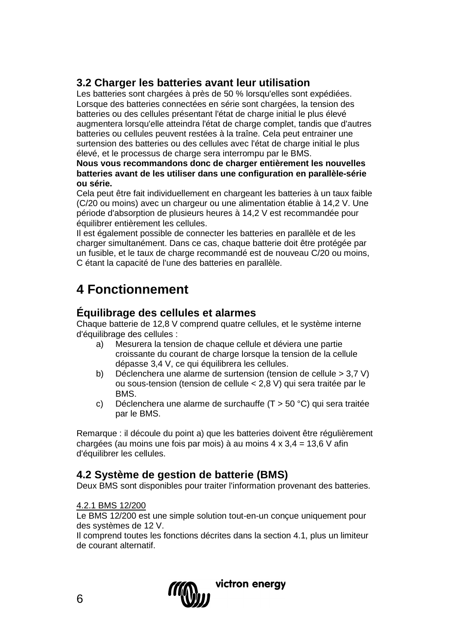# **3.2 Charger les batteries avant leur utilisation**

Les batteries sont chargées à près de 50 % lorsqu'elles sont expédiées. Lorsque des batteries connectées en série sont chargées, la tension des batteries ou des cellules présentant l'état de charge initial le plus élevé augmentera lorsqu'elle atteindra l'état de charge complet, tandis que d'autres batteries ou cellules peuvent restées à la traîne. Cela peut entrainer une surtension des batteries ou des cellules avec l'état de charge initial le plus élevé, et le processus de charge sera interrompu par le BMS.

**Nous vous recommandons donc de charger entièrement les nouvelles batteries avant de les utiliser dans une configuration en parallèle-série ou série.**

Cela peut être fait individuellement en chargeant les batteries à un taux faible (C/20 ou moins) avec un chargeur ou une alimentation établie à 14,2 V. Une période d'absorption de plusieurs heures à 14,2 V est recommandée pour équilibrer entièrement les cellules.

Il est également possible de connecter les batteries en parallèle et de les charger simultanément. Dans ce cas, chaque batterie doit être protégée par un fusible, et le taux de charge recommandé est de nouveau C/20 ou moins, C étant la capacité de l'une des batteries en parallèle.

# **4 Fonctionnement**

# **Équilibrage des cellules et alarmes**

Chaque batterie de 12,8 V comprend quatre cellules, et le système interne d'équilibrage des cellules :

- a) Mesurera la tension de chaque cellule et déviera une partie croissante du courant de charge lorsque la tension de la cellule dépasse 3,4 V, ce qui équilibrera les cellules.
- b) Déclenchera une alarme de surtension (tension de cellule > 3,7 V) ou sous-tension (tension de cellule < 2,8 V) qui sera traitée par le **BMS**
- c) Déclenchera une alarme de surchauffe (T > 50 °C) qui sera traitée par le BMS.

Remarque : il découle du point a) que les batteries doivent être régulièrement chargées (au moins une fois par mois) à au moins  $4 \times 3.4 = 13.6$  V afin d'équilibrer les cellules.

# **4.2 Système de gestion de batterie (BMS)**

Deux BMS sont disponibles pour traiter l'information provenant des batteries.

#### 4.2.1 BMS 12/200

Le BMS 12/200 est une simple solution tout-en-un conçue uniquement pour des systèmes de 12 V.

Il comprend toutes les fonctions décrites dans la section 4.1, plus un limiteur de courant alternatif.

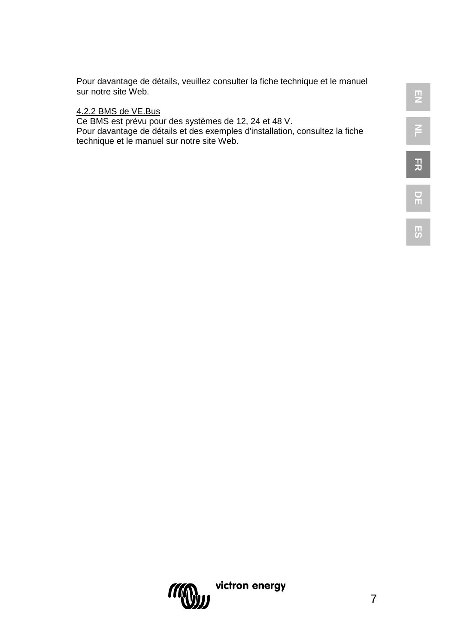Pour davantage de détails, veuillez consulter la fiche technique et le manuel sur notre site Web.

#### <u>4.2.2 BMS de VE.Bus</u>

Ce BMS est prévu pour des systèmes de 12, 24 et 48 V. Pour davantage de détails et des exemples d'installation, consultez la fiche technique et le manuel sur notre site Web.

**DE**

**ES**

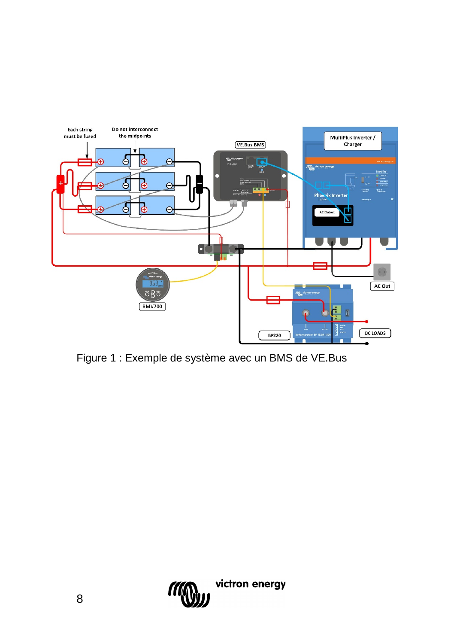

Figure 1 : Exemple de système avec un BMS de VE.Bus

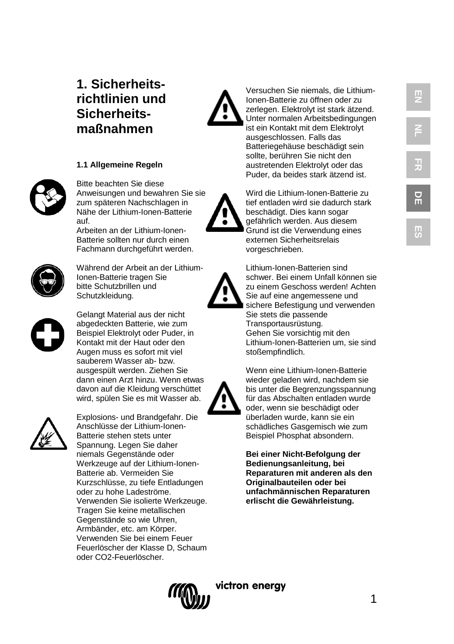# **1. Sicherheitsrichtlinien und Sicherheitsmaßnahmen**





Bitte beachten Sie diese Anweisungen und bewahren Sie sie zum späteren Nachschlagen in Nähe der Lithium-Ionen-Batterie auf.

Arbeiten an der Lithium-Ionen-Batterie sollten nur durch einen Fachmann durchgeführt werden.



Während der Arbeit an der Lithium-Ionen-Batterie tragen Sie bitte Schutzbrillen und Schutzkleidung.



Gelangt Material aus der nicht abgedeckten Batterie, wie zum Beispiel Elektrolyt oder Puder, in Kontakt mit der Haut oder den Augen muss es sofort mit viel sauberem Wasser ab- bzw. ausgespült werden. Ziehen Sie dann einen Arzt hinzu. Wenn etwas davon auf die Kleidung verschüttet wird, spülen Sie es mit Wasser ab.



Explosions- und Brandgefahr. Die Anschlüsse der Lithium-Ionen-Batterie stehen stets unter Spannung. Legen Sie daher niemals Gegenstände oder Werkzeuge auf der Lithium-Ionen-Batterie ab. Vermeiden Sie Kurzschlüsse, zu tiefe Entladungen oder zu hohe Ladeströme. Verwenden Sie isolierte Werkzeuge. Tragen Sie keine metallischen Gegenstände so wie Uhren, Armbänder, etc. am Körper. Verwenden Sie bei einem Feuer Feuerlöscher der Klasse D, Schaum oder CO2-Feuerlöscher.



Versuchen Sie niemals, die Lithium-Ionen-Batterie zu öffnen oder zu zerlegen. Elektrolyt ist stark ätzend. Unter normalen Arbeitsbedingungen ist ein Kontakt mit dem Elektrolyt ausgeschlossen. Falls das Batteriegehäuse beschädigt sein sollte, berühren Sie nicht den austretenden Elektrolyt oder das Puder, da beides stark ätzend ist.



Wird die Lithium-Ionen-Batterie zu tief entladen wird sie dadurch stark beschädigt. Dies kann sogar gefährlich werden. Aus diesem Grund ist die Verwendung eines externen Sicherheitsrelais vorgeschrieben.

Lithium-Ionen-Batterien sind schwer. Bei einem Unfall können sie zu einem Geschoss werden! Achten Sie auf eine angemessene und sichere Befestigung und verwenden Sie stets die passende Transportausrüstung. Gehen Sie vorsichtig mit den Lithium-Ionen-Batterien um, sie sind stoßempfindlich.

Wenn eine Lithium-Ionen-Batterie wieder geladen wird, nachdem sie bis unter die Begrenzungsspannung für das Abschalten entladen wurde oder, wenn sie beschädigt oder überladen wurde, kann sie ein schädliches Gasgemisch wie zum Beispiel Phosphat absondern.

**Bei einer Nicht-Befolgung der Bedienungsanleitung, bei Reparaturen mit anderen als den Originalbauteilen oder bei unfachmännischen Reparaturen erlischt die Gewährleistung.**

1





**ES**

**EN**

**NL**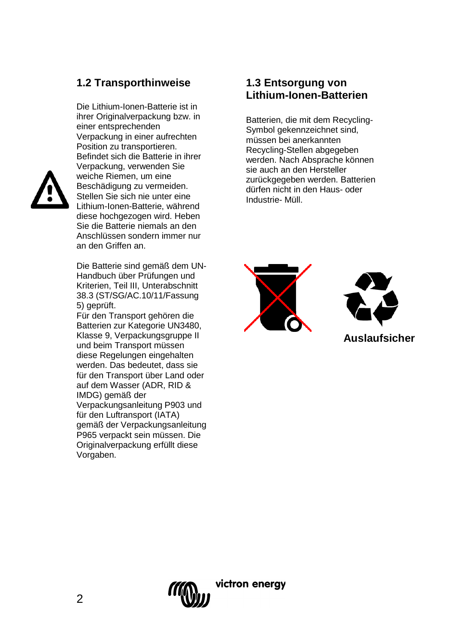# **1.2 Transporthinweise**

Die Lithium-Ionen-Batterie ist in ihrer Originalverpackung bzw. in einer entsprechenden Verpackung in einer aufrechten Position zu transportieren. Befindet sich die Batterie in ihrer Verpackung, verwenden Sie weiche Riemen, um eine Beschädigung zu vermeiden. Stellen Sie sich nie unter eine Lithium-Ionen-Batterie, während diese hochgezogen wird. Heben Sie die Batterie niemals an den Anschlüssen sondern immer nur an den Griffen an.

Die Batterie sind gemäß dem UN-Handbuch über Prüfungen und Kriterien, Teil III, Unterabschnitt 38.3 (ST/SG/AC.10/11/Fassung 5) geprüft.

Für den Transport gehören die Batterien zur Kategorie UN3480, Klasse 9, Verpackungsgruppe II und beim Transport müssen diese Regelungen eingehalten werden. Das bedeutet, dass sie für den Transport über Land oder auf dem Wasser (ADR, RID & IMDG) gemäß der Verpackungsanleitung P903 und für den Luftransport (IATA) gemäß der Verpackungsanleitung P965 verpackt sein müssen. Die Originalverpackung erfüllt diese Vorgaben.

#### **1.3 Entsorgung von Lithium-Ionen-Batterien**

Batterien, die mit dem Recycling-Symbol gekennzeichnet sind, müssen bei anerkannten Recycling-Stellen abgegeben werden. Nach Absprache können sie auch an den Hersteller zurückgegeben werden. Batterien dürfen nicht in den Haus- oder Industrie- Müll.





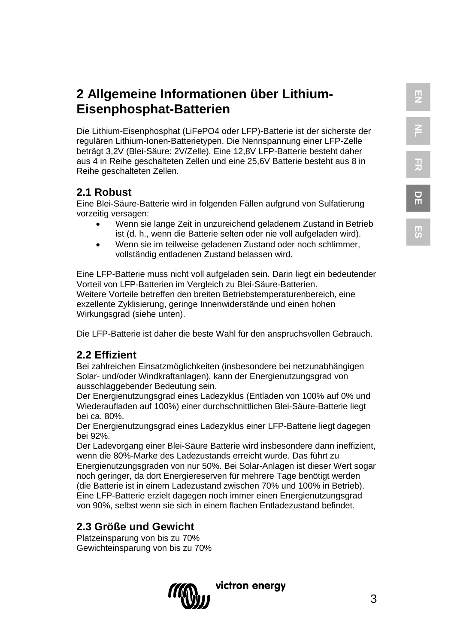Die Lithium-Eisenphosphat (LiFePO4 oder LFP)-Batterie ist der sicherste der regulären Lithium-Ionen-Batterietypen. Die Nennspannung einer LFP-Zelle beträgt 3,2V (Blei-Säure: 2V/Zelle). Eine 12,8V LFP-Batterie besteht daher aus 4 in Reihe geschalteten Zellen und eine 25,6V Batterie besteht aus 8 in Reihe geschalteten Zellen.

# **2.1 Robust**

Eine Blei-Säure-Batterie wird in folgenden Fällen aufgrund von Sulfatierung vorzeitig versagen:

- Wenn sie lange Zeit in unzureichend geladenem Zustand in Betrieb ist (d. h., wenn die Batterie selten oder nie voll aufgeladen wird).
- Wenn sie im teilweise geladenen Zustand oder noch schlimmer. vollständig entladenen Zustand belassen wird.

Eine LFP-Batterie muss nicht voll aufgeladen sein. Darin liegt ein bedeutender Vorteil von LFP-Batterien im Vergleich zu Blei-Säure-Batterien. Weitere Vorteile betreffen den breiten Betriebstemperaturenbereich, eine exzellente Zyklisierung, geringe Innenwiderstände und einen hohen Wirkungsgrad (siehe unten).

Die LFP-Batterie ist daher die beste Wahl für den anspruchsvollen Gebrauch.

# **2.2 Effizient**

Bei zahlreichen Einsatzmöglichkeiten (insbesondere bei netzunabhängigen Solar- und/oder Windkraftanlagen), kann der Energienutzungsgrad von ausschlaggebender Bedeutung sein.

Der Energienutzungsgrad eines Ladezyklus (Entladen von 100% auf 0% und Wiederaufladen auf 100%) einer durchschnittlichen Blei-Säure-Batterie liegt bei ca. 80%.

Der Energienutzungsgrad eines Ladezyklus einer LFP-Batterie liegt dagegen bei 92%.

Der Ladevorgang einer Blei-Säure Batterie wird insbesondere dann ineffizient, wenn die 80%-Marke des Ladezustands erreicht wurde. Das führt zu Energienutzungsgraden von nur 50%. Bei Solar-Anlagen ist dieser Wert sogar noch geringer, da dort Energiereserven für mehrere Tage benötigt werden (die Batterie ist in einem Ladezustand zwischen 70% und 100% in Betrieb). Eine LFP-Batterie erzielt dagegen noch immer einen Energienutzungsgrad von 90%, selbst wenn sie sich in einem flachen Entladezustand befindet.

# **2.3 Größe und Gewicht**

Platzeinsparung von bis zu 70% Gewichteinsparung von bis zu 70%

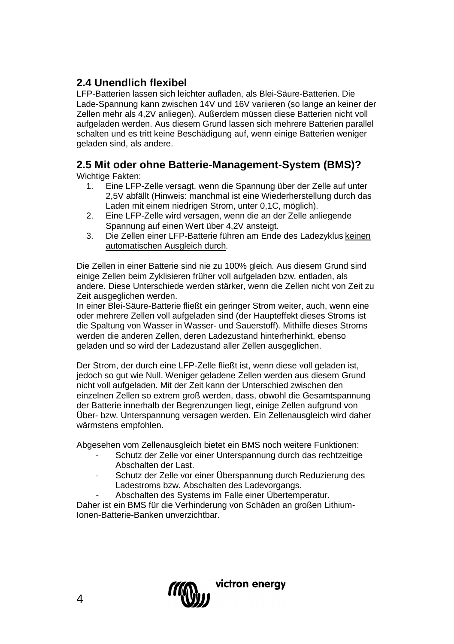# **2.4 Unendlich flexibel**

LFP-Batterien lassen sich leichter aufladen, als Blei-Säure-Batterien. Die Lade-Spannung kann zwischen 14V und 16V variieren (so lange an keiner der Zellen mehr als 4,2V anliegen). Außerdem müssen diese Batterien nicht voll aufgeladen werden. Aus diesem Grund lassen sich mehrere Batterien parallel schalten und es tritt keine Beschädigung auf, wenn einige Batterien weniger geladen sind, als andere.

# **2.5 Mit oder ohne Batterie-Management-System (BMS)?**

Wichtige Fakten:<br>1 Fine I FP

- 1. Eine LFP-Zelle versagt, wenn die Spannung über der Zelle auf unter 2,5V abfällt (Hinweis: manchmal ist eine Wiederherstellung durch das Laden mit einem niedrigen Strom, unter 0,1C, möglich).
- 2. Eine LFP-Zelle wird versagen, wenn die an der Zelle anliegende Spannung auf einen Wert über 4,2V ansteigt.
- 3. Die Zellen einer LFP-Batterie führen am Ende des Ladezyklus keinen automatischen Ausgleich durch.

Die Zellen in einer Batterie sind nie zu 100% gleich. Aus diesem Grund sind einige Zellen beim Zyklisieren früher voll aufgeladen bzw. entladen, als andere. Diese Unterschiede werden stärker, wenn die Zellen nicht von Zeit zu Zeit ausgeglichen werden.

In einer Blei-Säure-Batterie fließt ein geringer Strom weiter, auch, wenn eine oder mehrere Zellen voll aufgeladen sind (der Haupteffekt dieses Stroms ist die Spaltung von Wasser in Wasser- und Sauerstoff). Mithilfe dieses Stroms werden die anderen Zellen, deren Ladezustand hinterherhinkt, ebenso geladen und so wird der Ladezustand aller Zellen ausgeglichen.

Der Strom, der durch eine LFP-Zelle fließt ist, wenn diese voll geladen ist, jedoch so gut wie Null. Weniger geladene Zellen werden aus diesem Grund nicht voll aufgeladen. Mit der Zeit kann der Unterschied zwischen den einzelnen Zellen so extrem groß werden, dass, obwohl die Gesamtspannung der Batterie innerhalb der Begrenzungen liegt, einige Zellen aufgrund von Über- bzw. Unterspannung versagen werden. Ein Zellenausgleich wird daher wärmstens empfohlen.

Abgesehen vom Zellenausgleich bietet ein BMS noch weitere Funktionen:

- Schutz der Zelle vor einer Unterspannung durch das rechtzeitige Abschalten der Last.
- Schutz der Zelle vor einer Überspannung durch Reduzierung des Ladestroms bzw. Abschalten des Ladevorgangs.
- Abschalten des Systems im Falle einer Übertemperatur.

Daher ist ein BMS für die Verhinderung von Schäden an großen Lithium-Ionen-Batterie-Banken unverzichtbar.

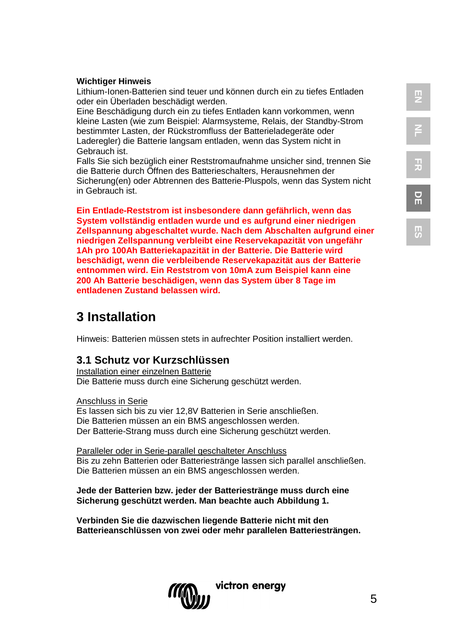# **NL FR DE**

**ES**

#### **Wichtiger Hinweis**

Lithium-Ionen-Batterien sind teuer und können durch ein zu tiefes Entladen oder ein Überladen beschädigt werden.

Eine Beschädigung durch ein zu tiefes Entladen kann vorkommen, wenn kleine Lasten (wie zum Beispiel: Alarmsysteme, Relais, der Standby-Strom bestimmter Lasten, der Rückstromfluss der Batterieladegeräte oder Laderegler) die Batterie langsam entladen, wenn das System nicht in Gebrauch ist.

Falls Sie sich bezüglich einer Reststromaufnahme unsicher sind, trennen Sie die Batterie durch Öffnen des Batterieschalters, Herausnehmen der Sicherung(en) oder Abtrennen des Batterie-Pluspols, wenn das System nicht in Gebrauch ist.

**Ein Entlade-Reststrom ist insbesondere dann gefährlich, wenn das System vollständig entladen wurde und es aufgrund einer niedrigen Zellspannung abgeschaltet wurde. Nach dem Abschalten aufgrund einer niedrigen Zellspannung verbleibt eine Reservekapazität von ungefähr 1Ah pro 100Ah Batteriekapazität in der Batterie. Die Batterie wird beschädigt, wenn die verbleibende Reservekapazität aus der Batterie entnommen wird. Ein Reststrom von 10mA zum Beispiel kann eine 200 Ah Batterie beschädigen, wenn das System über 8 Tage im entladenen Zustand belassen wird.**

# **3 Installation**

Hinweis: Batterien müssen stets in aufrechter Position installiert werden.

# **3.1 Schutz vor Kurzschlüssen**

Installation einer einzelnen Batterie Die Batterie muss durch eine Sicherung geschützt werden.

#### Anschluss in Serie

Es lassen sich bis zu vier 12,8V Batterien in Serie anschließen. Die Batterien müssen an ein BMS angeschlossen werden. Der Batterie-Strang muss durch eine Sicherung geschützt werden.

Paralleler oder in Serie-parallel geschalteter Anschluss Bis zu zehn Batterien oder Batteriestränge lassen sich parallel anschließen. Die Batterien müssen an ein BMS angeschlossen werden.

**Jede der Batterien bzw. jeder der Batteriestränge muss durch eine Sicherung geschützt werden. Man beachte auch Abbildung 1.**

**Verbinden Sie die dazwischen liegende Batterie nicht mit den Batterieanschlüssen von zwei oder mehr parallelen Batteriesträngen.**

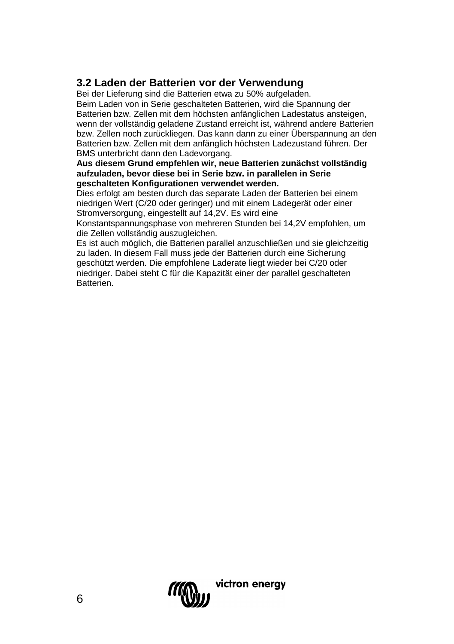# **3.2 Laden der Batterien vor der Verwendung**

Bei der Lieferung sind die Batterien etwa zu 50% aufgeladen.

Beim Laden von in Serie geschalteten Batterien, wird die Spannung der Batterien bzw. Zellen mit dem höchsten anfänglichen Ladestatus ansteigen, wenn der vollständig geladene Zustand erreicht ist, während andere Batterien bzw. Zellen noch zurückliegen. Das kann dann zu einer Überspannung an den Batterien bzw. Zellen mit dem anfänglich höchsten Ladezustand führen. Der BMS unterbricht dann den Ladevorgang.

#### **Aus diesem Grund empfehlen wir, neue Batterien zunächst vollständig aufzuladen, bevor diese bei in Serie bzw. in parallelen in Serie geschalteten Konfigurationen verwendet werden.**

Dies erfolgt am besten durch das separate Laden der Batterien bei einem niedrigen Wert (C/20 oder geringer) und mit einem Ladegerät oder einer Stromversorgung, eingestellt auf 14,2V. Es wird eine

Konstantspannungsphase von mehreren Stunden bei 14,2V empfohlen, um die Zellen vollständig auszugleichen.

Es ist auch möglich, die Batterien parallel anzuschließen und sie gleichzeitig zu laden. In diesem Fall muss jede der Batterien durch eine Sicherung geschützt werden. Die empfohlene Laderate liegt wieder bei C/20 oder niedriger. Dabei steht C für die Kapazität einer der parallel geschalteten Batterien.

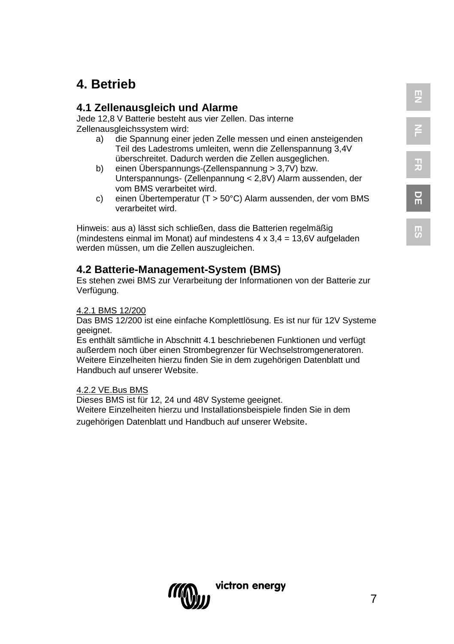# **FR DE**

**EN**

**NL**

# **4. Betrieb**

# **4.1 Zellenausgleich und Alarme**

Jede 12,8 V Batterie besteht aus vier Zellen. Das interne Zellenausgleichssystem wird:

- a) die Spannung einer jeden Zelle messen und einen ansteigenden Teil des Ladestroms umleiten, wenn die Zellenspannung 3,4V überschreitet. Dadurch werden die Zellen ausgeglichen.
- b) einen Überspannungs-(Zellenspannung > 3,7V) bzw. Unterspannungs- (Zellenpannung < 2,8V) Alarm aussenden, der vom BMS verarbeitet wird.
- c) einen Übertemperatur (T > 50°C) Alarm aussenden, der vom BMS verarbeitet wird.

Hinweis: aus a) lässt sich schließen, dass die Batterien regelmäßig (mindestens einmal im Monat) auf mindestens  $4 \times 3.4 = 13.6$ V aufgeladen werden müssen, um die Zellen auszugleichen.

# **4.2 Batterie-Management-System (BMS)**

Es stehen zwei BMS zur Verarbeitung der Informationen von der Batterie zur Verfügung.

#### 4.2.1 BMS 12/200

Das BMS 12/200 ist eine einfache Komplettlösung. Es ist nur für 12V Systeme geeignet.

Es enthält sämtliche in Abschnitt 4.1 beschriebenen Funktionen und verfügt außerdem noch über einen Strombegrenzer für Wechselstromgeneratoren. Weitere Einzelheiten hierzu finden Sie in dem zugehörigen Datenblatt und Handbuch auf unserer Website.

#### 4.2.2 VE.Bus BMS

Dieses BMS ist für 12, 24 und 48V Systeme geeignet. Weitere Einzelheiten hierzu und Installationsbeispiele finden Sie in dem zugehörigen Datenblatt und Handbuch auf unserer Website.

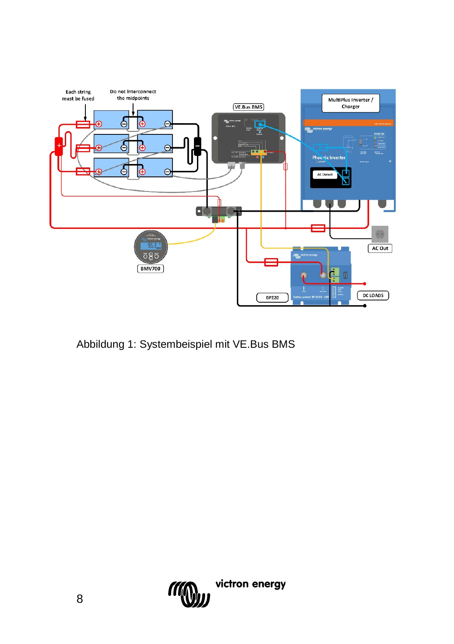

Abbildung 1: Systembeispiel mit VE.Bus BMS

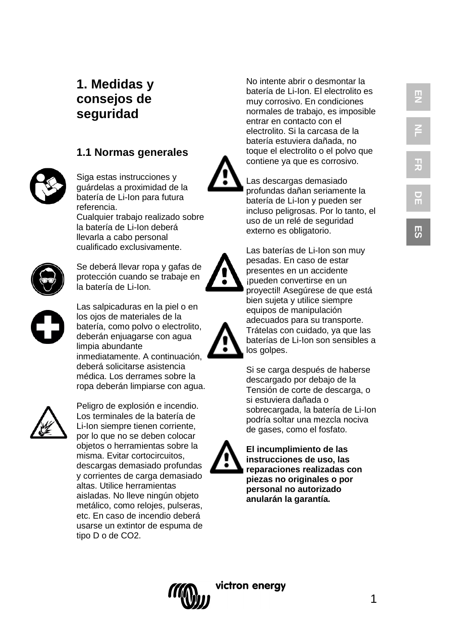**ES**

# **1. Medidas y consejos de seguridad**

# **1.1 Normas generales**



Siga estas instrucciones y guárdelas a proximidad de la batería de Li -Ion para futura referencia.

Cualquier trabajo realizado sobre la batería de Li -Ion deberá llevarla a cabo personal cualificado exclusivamente.



Se deberá llevar ropa y gafas de protección cuando se trabaje en la batería de Li -Ion.



Las salpicaduras en la piel o en los ojos de materiales de la batería, como polvo o electrolito, deberán enjuagarse con agua limpia abundante inmediatamente. A continuación, deberá solicitarse asistencia médica. Los derrames sobre la ropa deberán limpiarse con agua.



Peligro de explosión e incendio. Los terminales de la batería de Li -Ion siempre tienen corriente, por lo que no se deben colocar objetos o herramientas sobre la misma. Evitar cortocircuitos, descargas demasiado profundas y corrientes de carga demasiado altas. Utilice herramientas aisladas. No lleve ningún objeto metálico, como relojes, pulseras, etc. En caso de incendio deberá usarse un extintor de espuma de tipo D o de CO2.

No intente abrir o desmontar la batería de Li -Ion. El electrolito es muy corrosivo. En condiciones normales de trabajo, es imposible entrar en contacto con el electrolito. Si la carcasa de la batería estuviera dañada, no toque el electrolito o el polvo que contiene ya que es corrosivo.



Las descargas demasiado profundas dañan seriamente la batería de Li -Ion y pueden ser incluso peligrosas. Por lo tanto, el uso de un relé de seguridad externo es obligatorio.



presentes en un accidente ¡pueden convertirse en un proyectil! Asegúrese de que está bien sujeta y utilice siempre equipos de manipulación adecuados para su transporte. Trátelas con cuidado, ya que las baterías de Li -Ion son sensibles a los golpes.

Si se carga después de haberse descargado por debajo de la Tensión de corte de descarga, o si estuviera dañada o sobrecargada, la batería de Li -Ion podría soltar una mezcla nociva de gases, como el fosfato.



**El incumplimiento de las instrucciones de uso, las reparaciones realizadas con piezas no originales o por personal no autorizado anularán la garantía.**

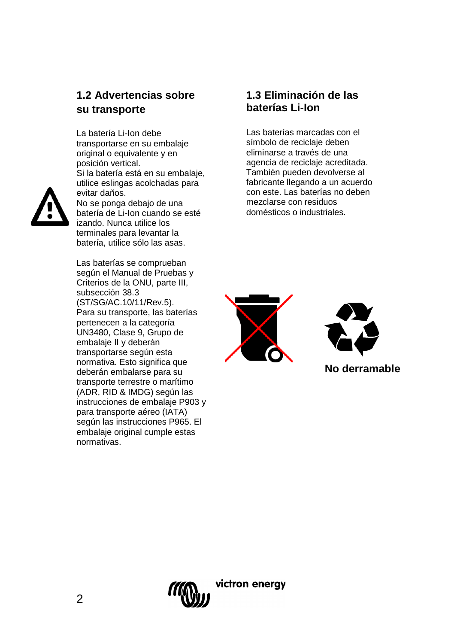# **1.2 Advertencias sobre su transporte**

La batería Li-Ion debe transportarse en su embalaje original o equivalente y en posición vertical. Si la batería está en su embalaje, utilice eslingas acolchadas para evitar daños. No se ponga debajo de una batería de Li-Ion cuando se esté izando. Nunca utilice los terminales para levantar la batería, utilice sólo las asas.

Las baterías se comprueban según el Manual de Pruebas y Criterios de la ONU, parte III, subsección 38.3 (ST/SG/AC.10/11/Rev.5). Para su transporte, las baterías pertenecen a la categoría UN3480, Clase 9, Grupo de embalaje II y deberán transportarse según esta normativa. Esto significa que deberán embalarse para su transporte terrestre o marítimo (ADR, RID & IMDG) según las instrucciones de embalaje P903 y para transporte aéreo (IATA) según las instrucciones P965. El embalaje original cumple estas normativas.

# **1.3 Eliminación de las baterías Li-Ion**

Las baterías marcadas con el símbolo de reciclaje deben eliminarse a través de una agencia de reciclaje acreditada. También pueden devolverse al fabricante llegando a un acuerdo con este. Las baterías no deben mezclarse con residuos domésticos o industriales.



victron enerav



**No derramable**

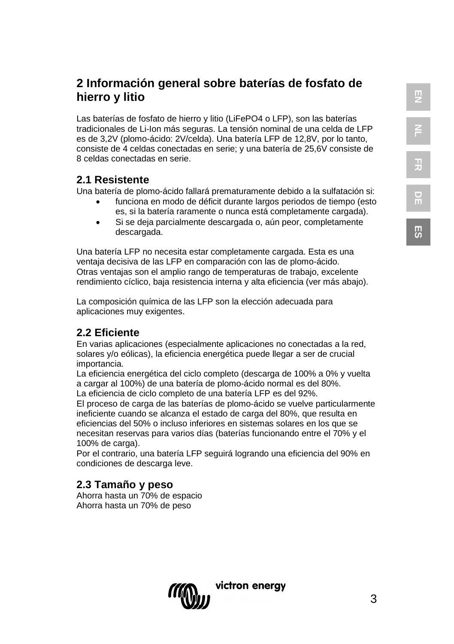**ES**

# **2 Información general sobre baterías de fosfato de hierro y litio**

Las baterías de fosfato de hierro y litio (LiFePO4 o LFP), son las baterías tradicionales de Li-Ion más seguras. La tensión nominal de una celda de LFP es de 3,2V (plomo-ácido: 2V/celda). Una batería LFP de 12,8V, por lo tanto, consiste de 4 celdas conectadas en serie; y una batería de 25,6V consiste de 8 celdas conectadas en serie.

# **2.1 Resistente**

Una batería de plomo-ácido fallará prematuramente debido a la sulfatación si:

- funciona en modo de déficit durante largos periodos de tiempo (esto es, si la batería raramente o nunca está completamente cargada).
- Si se deja parcialmente descargada o, aún peor, completamente descargada.

Una batería LFP no necesita estar completamente cargada. Esta es una ventaja decisiva de las LFP en comparación con las de plomo-ácido. Otras ventajas son el amplio rango de temperaturas de trabajo, excelente rendimiento cíclico, baja resistencia interna y alta eficiencia (ver más abajo).

La composición química de las LFP son la elección adecuada para aplicaciones muy exigentes.

# **2.2 Eficiente**

En varias aplicaciones (especialmente aplicaciones no conectadas a la red, solares y/o eólicas), la eficiencia energética puede llegar a ser de crucial importancia.

La eficiencia energética del ciclo completo (descarga de 100% a 0% y vuelta a cargar al 100%) de una batería de plomo-ácido normal es del 80%. La eficiencia de ciclo completo de una batería LFP es del 92%.

El proceso de carga de las baterías de plomo-ácido se vuelve particularmente ineficiente cuando se alcanza el estado de carga del 80%, que resulta en eficiencias del 50% o incluso inferiores en sistemas solares en los que se necesitan reservas para varios días (baterías funcionando entre el 70% y el 100% de carga).

Por el contrario, una batería LFP seguirá logrando una eficiencia del 90% en condiciones de descarga leve.

# **2.3 Tamaño y peso**

Ahorra hasta un 70% de espacio Ahorra hasta un 70% de peso

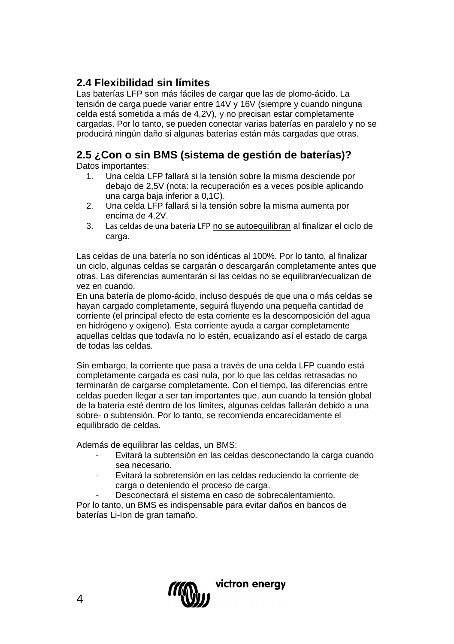# **2.4 Flexibilidad sin límites**

Las baterías LFP son más fáciles de cargar que las de plomo-ácido. La tensión de carga puede variar entre 14V y 16V (siempre y cuando ninguna celda está sometida a más de 4,2V), y no precisan estar completamente cargadas. Por lo tanto, se pueden conectar varias baterías en paralelo y no se producirá ningún daño si algunas baterías están más cargadas que otras.

# **2.5 ¿Con o sin BMS (sistema de gestión de baterías)?**

Datos importantes:

- 1. Una celda LFP fallará si la tensión sobre la misma desciende por debajo de 2,5V (nota: la recuperación es a veces posible aplicando una carga baja inferior a 0,1C).
- 2. Una celda LFP fallará si la tensión sobre la misma aumenta por encima de 4,2V.
- 3. Las celdas de una batería LFP no se autoequilibran al finalizar el ciclo de carga.

Las celdas de una batería no son idénticas al 100%. Por lo tanto, al finalizar un ciclo, algunas celdas se cargarán o descargarán completamente antes que otras. Las diferencias aumentarán si las celdas no se equilibran/ecualizan de vez en cuando.

En una batería de plomo-ácido, incluso después de que una o más celdas se hayan cargado completamente, seguirá fluyendo una pequeña cantidad de corriente (el principal efecto de esta corriente es la descomposición del agua en hidrógeno y oxígeno). Esta corriente ayuda a cargar completamente aquellas celdas que todavía no lo estén, ecualizando así el estado de carga de todas las celdas.

Sin embargo, la corriente que pasa a través de una celda LFP cuando está completamente cargada es casi nula, por lo que las celdas retrasadas no terminarán de cargarse completamente. Con el tiempo, las diferencias entre celdas pueden llegar a ser tan importantes que, aun cuando la tensión global de la batería esté dentro de los límites, algunas celdas fallarán debido a una sobre- o subtensión. Por lo tanto, se recomienda encarecidamente el equilibrado de celdas.

Además de equilibrar las celdas, un BMS:

- Evitará la subtensión en las celdas desconectando la carga cuando sea necesario.
- Evitará la sobretensión en las celdas reduciendo la corriente de carga o deteniendo el proceso de carga.
- Desconectará el sistema en caso de sobrecalentamiento.

Por lo tanto, un BMS es indispensable para evitar daños en bancos de baterías Li-Ion de gran tamaño.

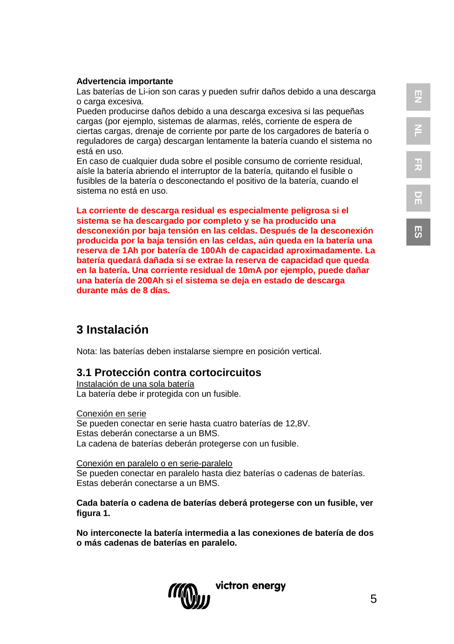#### **Advertencia importante**

Las baterías de Li-ion son caras y pueden sufrir daños debido a una descarga o carga excesiva.

Pueden producirse daños debido a una descarga excesiva si las pequeñas cargas (por ejemplo, sistemas de alarmas, relés, corriente de espera de ciertas cargas, drenaje de corriente por parte de los cargadores de batería o reguladores de carga) descargan lentamente la batería cuando el sistema no está en uso.

En caso de cualquier duda sobre el posible consumo de corriente residual, aísle la batería abriendo el interruptor de la batería, quitando el fusible o fusibles de la batería o desconectando el positivo de la batería, cuando el sistema no está en uso.

**La corriente de descarga residual es especialmente peligrosa si el sistema se ha descargado por completo y se ha producido una desconexión por baja tensión en las celdas. Después de la desconexión producida por la baja tensión en las celdas, aún queda en la batería una reserva de 1Ah por batería de 100Ah de capacidad aproximadamente. La batería quedará dañada si se extrae la reserva de capacidad que queda en la batería. Una corriente residual de 10mA por ejemplo, puede dañar una batería de 200Ah si el sistema se deja en estado de descarga durante más de 8 días.**

# **3 Instalación**

Nota: las baterías deben instalarse siempre en posición vertical.

#### **3.1 Protección contra cortocircuitos**

Instalación de una sola batería La batería debe ir protegida con un fusible.

Conexión en serie Se pueden conectar en serie hasta cuatro baterías de 12,8V. Estas deberán conectarse a un BMS. La cadena de baterías deberán protegerse con un fusible.

Conexión en paralelo o en serie-paralelo Se pueden conectar en paralelo hasta diez baterías o cadenas de baterías. Estas deberán conectarse a un BMS.

**Cada batería o cadena de baterías deberá protegerse con un fusible, ver figura 1.**

**No interconecte la batería intermedia a las conexiones de batería de dos o más cadenas de baterías en paralelo.**



**ES**

5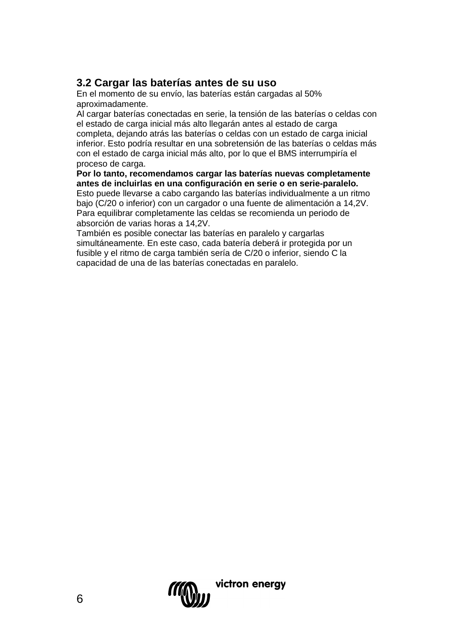# **3.2 Cargar las baterías antes de su uso**

En el momento de su envío, las baterías están cargadas al 50% aproximadamente.

Al cargar baterías conectadas en serie, la tensión de las baterías o celdas con el estado de carga inicial más alto llegarán antes al estado de carga completa, dejando atrás las baterías o celdas con un estado de carga inicial inferior. Esto podría resultar en una sobretensión de las baterías o celdas más con el estado de carga inicial más alto, por lo que el BMS interrumpiría el proceso de carga.

**Por lo tanto, recomendamos cargar las baterías nuevas completamente antes de incluirlas en una configuración en serie o en serie-paralelo.** Esto puede llevarse a cabo cargando las baterías individualmente a un ritmo

bajo (C/20 o inferior) con un cargador o una fuente de alimentación a 14,2V. Para equilibrar completamente las celdas se recomienda un periodo de absorción de varias horas a 14,2V.

También es posible conectar las baterías en paralelo y cargarlas simultáneamente. En este caso, cada batería deberá ir protegida por un fusible y el ritmo de carga también sería de C/20 o inferior, siendo C la capacidad de una de las baterías conectadas en paralelo.

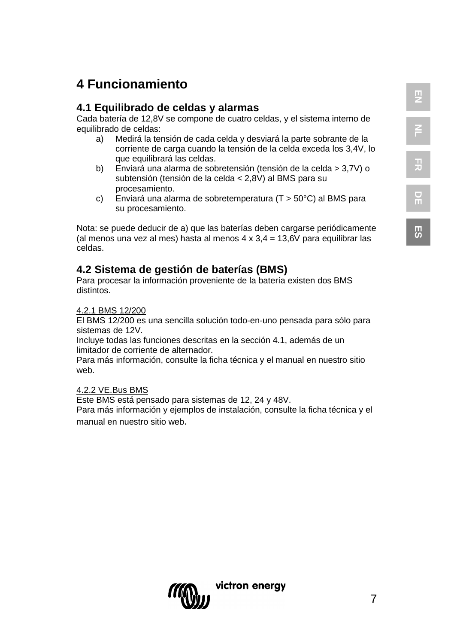**ES**

# **4 Funcionamiento**

# **4.1 Equilibrado de celdas y alarmas**

Cada batería de 12,8V se compone de cuatro celdas, y el sistema interno de equilibrado de celdas:

- a) Medirá la tensión de cada celda y desviará la parte sobrante de la corriente de carga cuando la tensión de la celda exceda los 3,4V, lo que equilibrará las celdas.
- b) Enviará una alarma de sobretensión (tensión de la celda > 3,7V) o subtensión (tensión de la celda < 2,8V) al BMS para su procesamiento.
- c) Enviará una alarma de sobretemperatura (T > 50°C) al BMS para su procesamiento.

Nota: se puede deducir de a) que las baterías deben cargarse periódicamente (al menos una vez al mes) hasta al menos  $4 \times 3.4 = 13.6$ V para equilibrar las celdas.

# **4.2 Sistema de gestión de baterías (BMS)**

Para procesar la información proveniente de la batería existen dos BMS distintos.

#### 4.2.1 BMS 12/200

El BMS 12/200 es una sencilla solución todo-en-uno pensada para sólo para sistemas de 12V.

Incluye todas las funciones descritas en la sección 4.1, además de un limitador de corriente de alternador.

Para más información, consulte la ficha técnica y el manual en nuestro sitio web.

#### 4.2.2 VE.Bus BMS

Este BMS está pensado para sistemas de 12, 24 y 48V.

Para más información y ejemplos de instalación, consulte la ficha técnica y el manual en nuestro sitio web.

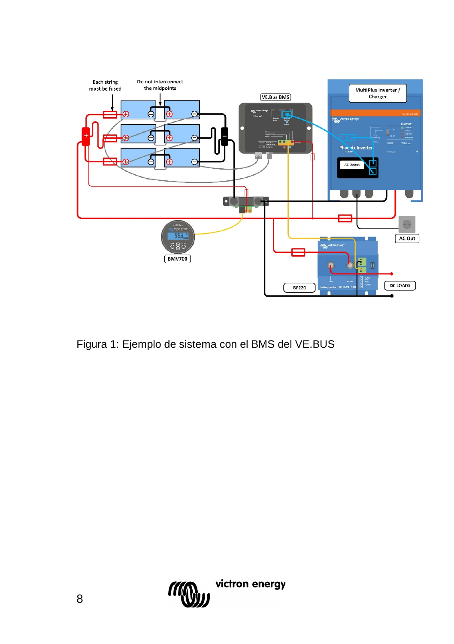

Figura 1: Ejemplo de sistema con el BMS del VE.BUS